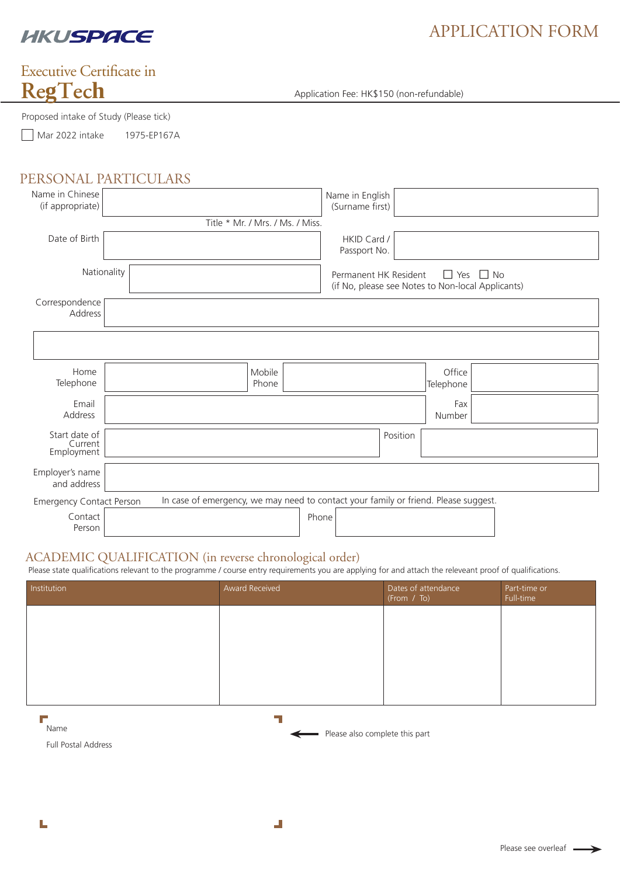

# APPLICATION FORM

# **RegTech** Executive Certificate in

Proposed intake of Study (Please tick)

Mar 2022 intake 1975-EP167A

## PERSONAL PARTICULARS

| Name in Chinese<br>(if appropriate)                                                                                    |                                  | Name in English<br>(Surname first)                                         |                         |  |
|------------------------------------------------------------------------------------------------------------------------|----------------------------------|----------------------------------------------------------------------------|-------------------------|--|
|                                                                                                                        | Title * Mr. / Mrs. / Ms. / Miss. |                                                                            |                         |  |
| Date of Birth                                                                                                          |                                  | HKID Card /<br>Passport No.                                                |                         |  |
| Nationality                                                                                                            |                                  | Permanent HK Resident<br>(if No, please see Notes to Non-local Applicants) | $\Box$ Yes<br>$\Box$ No |  |
| Correspondence<br>Address                                                                                              |                                  |                                                                            |                         |  |
|                                                                                                                        |                                  |                                                                            |                         |  |
| Home<br>Telephone                                                                                                      | Mobile<br>Phone                  |                                                                            | Office<br>Telephone     |  |
| Email<br>Address                                                                                                       |                                  |                                                                            | Fax<br>Number           |  |
| Start date of<br>Current<br>Employment                                                                                 |                                  | Position                                                                   |                         |  |
| Employer's name<br>and address                                                                                         |                                  |                                                                            |                         |  |
| In case of emergency, we may need to contact your family or friend. Please suggest.<br><b>Emergency Contact Person</b> |                                  |                                                                            |                         |  |
| Contact<br>Person                                                                                                      |                                  | Phone                                                                      |                         |  |

Application Fee: HK\$150 (non-refundable)

## ACADEMIC QUALIFICATION (in reverse chronological order)

Please state qualifications relevant to the programme / course entry requirements you are applying for and attach the releveant proof of qualifications.

| Institution | Award Received | Dates of attendance<br>(From / To) | Part-time or<br>Full-time |
|-------------|----------------|------------------------------------|---------------------------|
|             |                |                                    |                           |
|             |                |                                    |                           |
|             |                |                                    |                           |
|             |                |                                    |                           |

Ŧ

L

Name

÷.

Please also complete this part

Full Postal Address

 $\mathbf{J}$